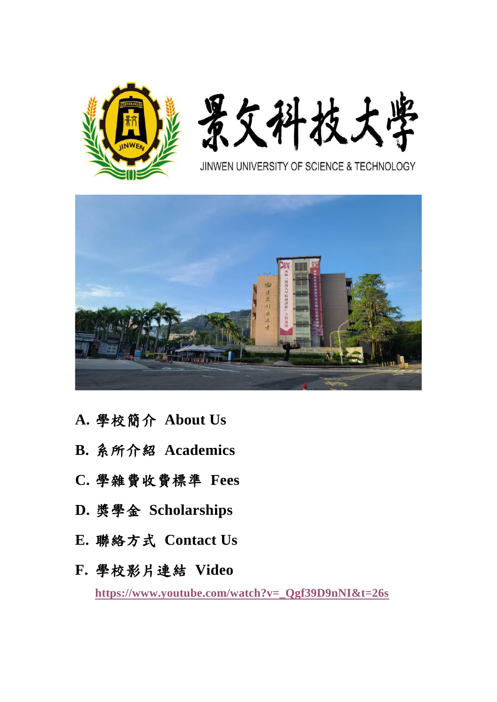



JINWEN UNIVERSITY OF SCIENCE & TECHNOLOGY



- **A.** 學校簡介 **About Us**
- **B.** 系所介紹 **Academics**
- **C.** 學雜費收費標準 **Fees**
- **D.** 獎學金 **Scholarships**
- **E.** 聯絡方式 **Contact Us**
- **F.** 學校影片連結 **Video [https://www.youtube.com/watch?v=\\_Qgf39D9nNI&t=26s](https://www.youtube.com/watch?v=_Qgf39D9nNI&t=26s)**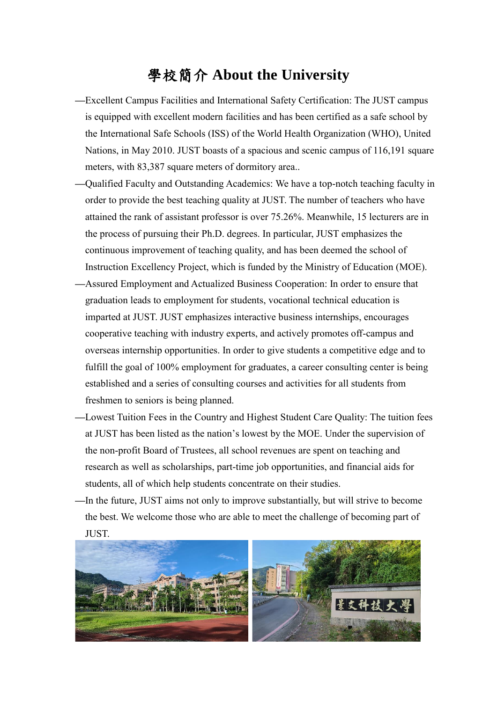#### 學校簡介 **About the University**

- **—**Excellent Campus Facilities and International Safety Certification: The JUST campus is equipped with excellent modern facilities and has been certified as a safe school by the International Safe Schools (ISS) of the World Health Organization (WHO), United Nations, in May 2010. JUST boasts of a spacious and scenic campus of 116,191 square meters, with 83,387 square meters of dormitory area..
- **—**Qualified Faculty and Outstanding Academics: We have a top-notch teaching faculty in order to provide the best teaching quality at JUST. The number of teachers who have attained the rank of assistant professor is over 75.26%. Meanwhile, 15 lecturers are in the process of pursuing their Ph.D. degrees. In particular, JUST emphasizes the continuous improvement of teaching quality, and has been deemed the school of Instruction Excellency Project, which is funded by the Ministry of Education (MOE).
- **—**Assured Employment and Actualized Business Cooperation: In order to ensure that graduation leads to employment for students, vocational technical education is imparted at JUST. JUST emphasizes interactive business internships, encourages cooperative teaching with industry experts, and actively promotes off-campus and overseas internship opportunities. In order to give students a competitive edge and to fulfill the goal of 100% employment for graduates, a career consulting center is being established and a series of consulting courses and activities for all students from freshmen to seniors is being planned.
- **—**Lowest Tuition Fees in the Country and Highest Student Care Quality: The tuition fees at JUST has been listed as the nation's lowest by the MOE. Under the supervision of the non-profit Board of Trustees, all school revenues are spent on teaching and research as well as scholarships, part-time job opportunities, and financial aids for students, all of which help students concentrate on their studies.
- **—**In the future, JUST aims not only to improve substantially, but will strive to become the best. We welcome those who are able to meet the challenge of becoming part of JUST.

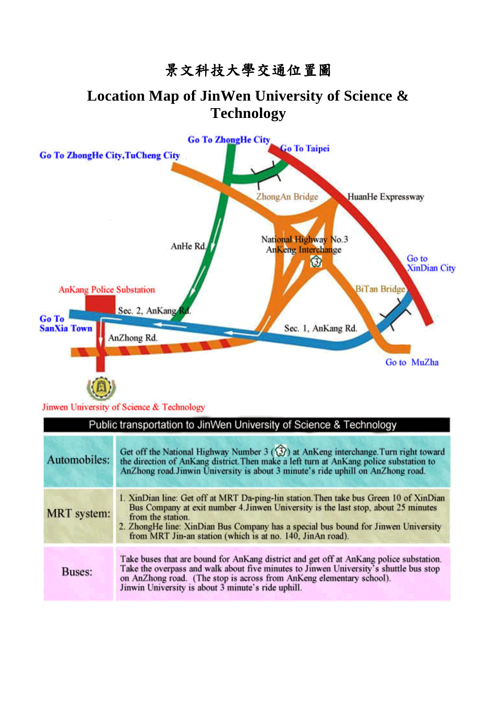# 景文科技大學交通位置圖

#### **Location Map of JinWen University of Science & Technology**



Jinwen University of Science & Technology

| Public transportation to JinWen University of Science & Technology |                                                                                                                                                                                                                                                                                                                                                       |
|--------------------------------------------------------------------|-------------------------------------------------------------------------------------------------------------------------------------------------------------------------------------------------------------------------------------------------------------------------------------------------------------------------------------------------------|
| Automobiles:                                                       | Get off the National Highway Number 3 $(3)$ at AnKeng interchange. Turn right toward<br>the direction of AnKang district. Then make a left turn at AnKang police substation to<br>AnZhong road. Jinwin University is about 3 minute's ride uphill on AnZhong road.                                                                                    |
| <b>MRT</b> system:                                                 | 1. XinDian line: Get off at MRT Da-ping-lin station. Then take bus Green 10 of XinDian<br>Bus Company at exit number 4. Jinwen University is the last stop, about 25 minutes<br>from the station.<br>2. ZhongHe line: XinDian Bus Company has a special bus bound for Jinwen University<br>from MRT Jin-an station (which is at no. 140, JinAn road). |
| <b>Buses:</b>                                                      | Take buses that are bound for AnKang district and get off at AnKang police substation.<br>Take the overpass and walk about five minutes to Jinwen University's shuttle bus stop<br>on AnZhong road. (The stop is across from AnKeng elementary school).<br>Jinwin University is about 3 minute's ride uphill.                                         |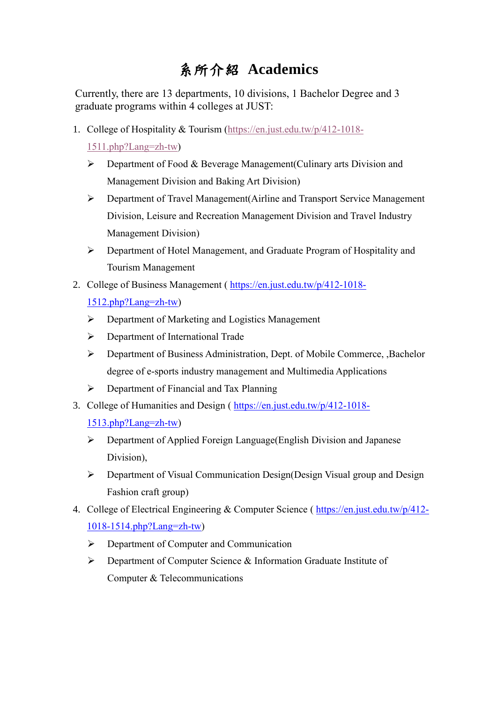# 系所介紹 **Academics**

Currently, there are 13 departments, 10 divisions, 1 Bachelor Degree and 3 graduate programs within 4 colleges at JUST:

1. College of Hospitality & Tourism [\(https://en.just.edu.tw/p/412-1018-](https://en.just.edu.tw/p/412-1018-1511.php?Lang=zh-tw)

[1511.php?Lang=zh-tw\)](https://en.just.edu.tw/p/412-1018-1511.php?Lang=zh-tw)

- ➢ Department of Food & Beverage Management(Culinary arts Division and Management Division and Baking Art Division)
- ➢ Department of Travel Management(Airline and Transport Service Management Division, Leisure and Recreation Management Division and Travel Industry Management Division)
- ➢ Department of Hotel Management, and Graduate Program of Hospitality and Tourism Management
- 2. College of Business Management ( [https://en.just.edu.tw/p/412-1018-](https://en.just.edu.tw/p/412-1018-1512.php?Lang=zh-tw)

[1512.php?Lang=zh-tw\)](https://en.just.edu.tw/p/412-1018-1512.php?Lang=zh-tw)

- ➢ Department of Marketing and Logistics Management
- ➢ Department of International Trade
- ➢ Department of Business Administration, Dept. of Mobile Commerce, ,Bachelor degree of e-sports industry management and Multimedia Applications
- ➢ Department of Financial and Tax Planning
- 3. College of Humanities and Design ( [https://en.just.edu.tw/p/412-1018-](https://en.just.edu.tw/p/412-1018-1513.php?Lang=zh-tw)

[1513.php?Lang=zh-tw\)](https://en.just.edu.tw/p/412-1018-1513.php?Lang=zh-tw)

- ➢ Department of Applied Foreign Language(English Division and Japanese Division),
- ➢ Department of Visual Communication Design(Design Visual group and Design Fashion craft group)
- 4. College of Electrical Engineering & Computer Science (https://en.just.edu.tw/p/412-[1018-1514.php?Lang=zh-tw\)](https://en.just.edu.tw/p/412-1018-1514.php?Lang=zh-tw)
	- ➢ Department of Computer and Communication
	- ➢ Department of Computer Science & Information Graduate Institute of Computer & Telecommunications